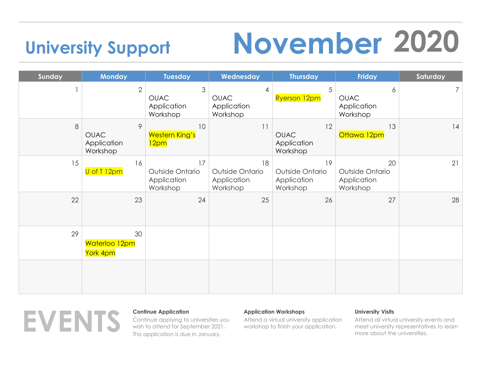# **University Support November 2020**

### Sunday **Nonday Tuesday Wednesday Thursday Friday Saturday** 1 2 3 4 5 6 7 OUAC Application Workshop OUAC Application Workshop  $Ryerson 12pm$  OUAC Application Workshop  $8$  9 10 11 12 12 13 14 OUAC Application Workshop Western King's 12pm OUAC Application Workshop Ottawa 12pm  $15$  16  $17$  18 18 19 20 20 U of T<sub>12pm</sub> | Outside Ontario Application Workshop Outside Ontario Application Workshop Outside Ontario Application Workshop Outside Ontario Application Workshop  $22$  23 24 24 25 26 26 27 27 29 30 Waterloo 12pm York 4pm



Continue applying to universities you wish to attend for September 2021. This application is due in January.

## **Application Workshops**

Attend a virtual university application workshop to finish your application.

## **University Visits**

Attend all virtual university events and meet university representatives to learn more about the universities.